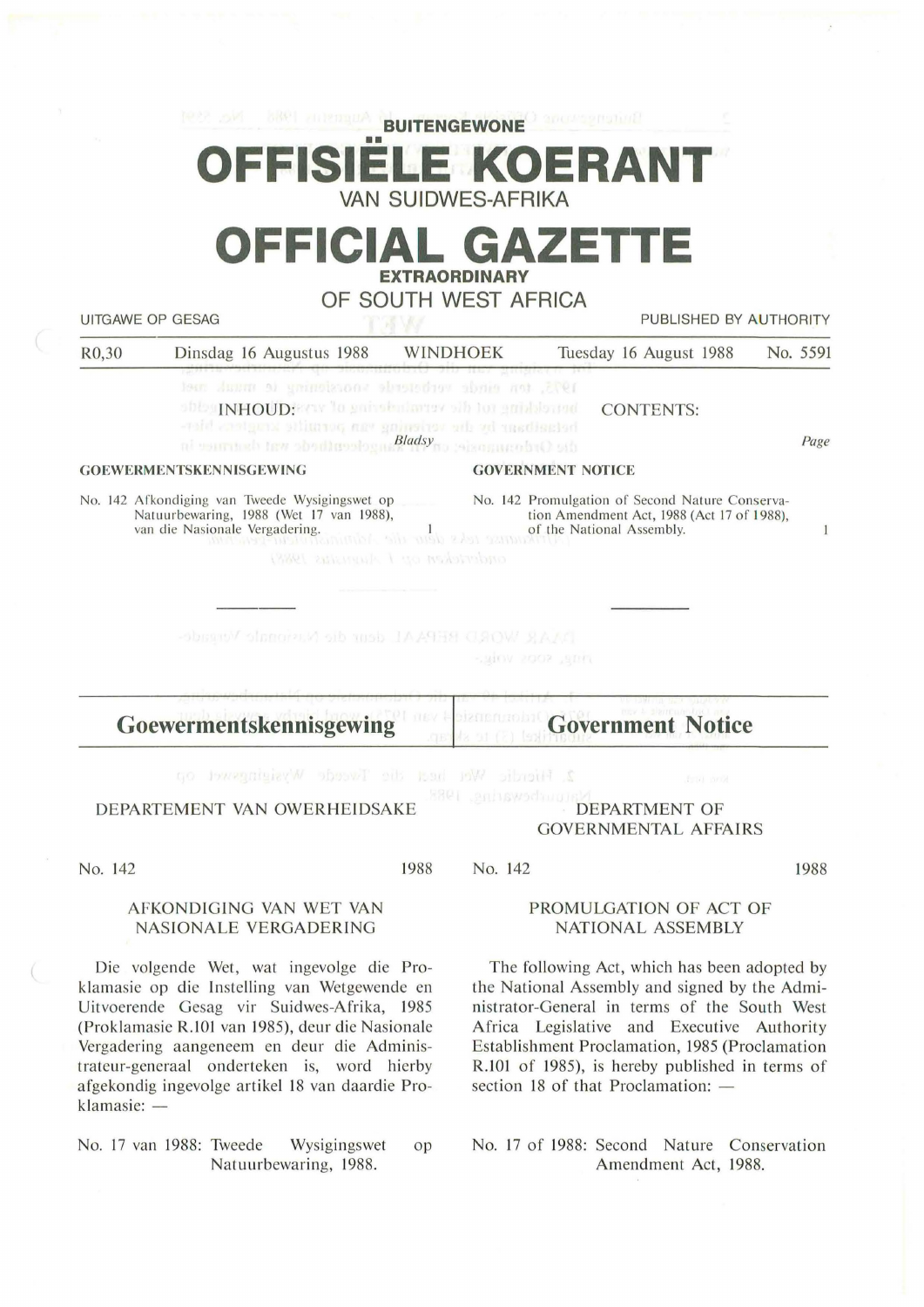|                                                                                          | <b>REAL AND</b><br>我的时间 / 11 12 13 13 13 14<br>OFFISIELE KOERANT                                                                                                                                                                                                            | <b>BUITENGEWONE</b><br><b>VAN SUIDWES-AFRIKA</b> |                                                                                       | J anossemuting                                                                                                                                                                                                                                                                                   |          |
|------------------------------------------------------------------------------------------|-----------------------------------------------------------------------------------------------------------------------------------------------------------------------------------------------------------------------------------------------------------------------------|--------------------------------------------------|---------------------------------------------------------------------------------------|--------------------------------------------------------------------------------------------------------------------------------------------------------------------------------------------------------------------------------------------------------------------------------------------------|----------|
|                                                                                          | OFFICIAL GAZETTE                                                                                                                                                                                                                                                            | <b>EXTRAORDINARY</b><br>OF SOUTH WEST AFRICA     |                                                                                       |                                                                                                                                                                                                                                                                                                  |          |
| R <sub>0</sub> ,30                                                                       | <b>UITGAWE OP GESAG</b><br>Dinsdag 16 Augustus 1988                                                                                                                                                                                                                         | <b>WINDHOEK</b>                                  |                                                                                       | PUBLISHED BY AUTHORITY<br>Tuesday 16 August 1988                                                                                                                                                                                                                                                 | No. 5591 |
|                                                                                          | 1945, ten einde verbetede soosiennig te maak met<br>ships INHOUD! Serve to go installarior all for gains and<br>relations by due verience and point in person blev-                                                                                                         |                                                  |                                                                                       | <b>CONTENTS:</b>                                                                                                                                                                                                                                                                                 | Page     |
| ai vannuely taw abodinoologus Bladsyno sekonuenbaO sth<br><b>GOEWERMENTSKENNISGEWING</b> |                                                                                                                                                                                                                                                                             |                                                  | <b>GOVERNMENT NOTICE</b>                                                              |                                                                                                                                                                                                                                                                                                  |          |
|                                                                                          | Natuurbewaring, 1988 (Wet 17 van 1988),<br>van die Nasionale Vergadering.<br>e Vergadering.<br><b>Examples</b> of the National Assembly.<br><b>Examples</b> 2.2133334 (2.433)<br>DAR WORD BEPAAL dem die Nationale Verside-                                                 | caderdeken op 1 Augustus 1988).                  | -JUN 2002 JUN                                                                         | tion Amendment Act, 1988 (Act 17 of 1988),                                                                                                                                                                                                                                                       | 1        |
|                                                                                          | Goewermentskennisgewing                                                                                                                                                                                                                                                     |                                                  |                                                                                       | <b>Government Notice</b>                                                                                                                                                                                                                                                                         |          |
| 2. Hierdie Wet heat die Tweede Wysighteet op<br>DEPARTEMENT VAN OWERHEIDSAKE             |                                                                                                                                                                                                                                                                             |                                                  | Read and<br>S301 .gniswadauung<br><b>DEPARTMENT OF</b><br><b>GOVERNMENTAL AFFAIRS</b> |                                                                                                                                                                                                                                                                                                  |          |
| No. 142                                                                                  |                                                                                                                                                                                                                                                                             | 1988                                             | No. 142                                                                               |                                                                                                                                                                                                                                                                                                  | 1988     |
| AFKONDIGING VAN WET VAN<br><b>NASIONALE VERGADERING</b>                                  |                                                                                                                                                                                                                                                                             |                                                  | PROMULGATION OF ACT OF<br><b>NATIONAL ASSEMBLY</b>                                    |                                                                                                                                                                                                                                                                                                  |          |
|                                                                                          | Die volgende Wet, wat ingevolge die Pro-<br>klamasie op die Instelling van Wetgewende en<br>Uitvoerende Gesag vir Suidwes-Afrika, 1985<br>(Proklamasie R.101 van 1985), deur die Nasionale<br>Vergadering aangeneem en deur die Adminis-<br>trateur-generaal onderteken is, | word hierby                                      |                                                                                       | The following Act, which has been adopted by<br>the National Assembly and signed by the Admi-<br>nistrator-General in terms of the South West<br>Africa Legislative and Executive Authority<br>Establishment Proclamation, 1985 (Proclamation<br>R.101 of 1985), is hereby published in terms of |          |

No. 17 van 1988: Tweede Wysigingswet op Natuurbewaring, 1988.

afgekondig ingevolge artikel 18 van daardie Pro-

klamasie: -

 $\left($ 

section 18 of that Proclamation:  $-$ 

No. 17 of 1988: Second Nature Conservation Amendment Act, 1988.